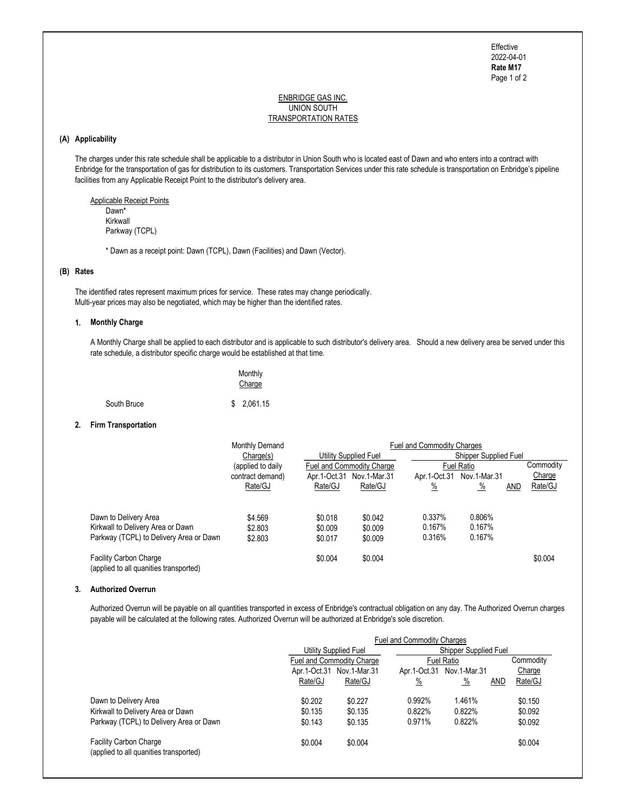Page 1 of 2 Effective 2022-04-01 Rate M17

#### ENBRIDGE GAS INC. UNION SOUTH TRANSPORTATION RATES

# (A) Applicability

 The charges under this rate schedule shall be applicable to a distributor in Union South who is located east of Dawn and who enters into a contract with Enbridge for the transportation of gas for distribution to its customers. Transportation Services under this rate schedule is transportation on Enbridge's pipeline facilities from any Applicable Receipt Point to the distributor's delivery area.

 Applicable Receipt Points Dawn\* Kirkwall Parkway (TCPL)

\* Dawn as a receipt point: Dawn (TCPL), Dawn (Facilities) and Dawn (Vector).

## (B) Rates

 The identified rates represent maximum prices for service. These rates may change periodically. Multi-year prices may also be negotiated, which may be higher than the identified rates.

### 1. Monthly Charge

 A Monthly Charge shall be applied to each distributor and is applicable to such distributor's delivery area. Should a new delivery area be served under this rate schedule, a distributor specific charge would be established at that time.

|             | Monthly<br>Charge |
|-------------|-------------------|
| South Bruce | \$2,061.15        |

### 2. Firm Transportation

|                                                                         | Monthly Demand<br>Change(s)<br>(applied to daily)<br>Fuel and Commodity Charge |         | <b>Fuel and Commodity Charges</b> |                       |                       |     |           |  |
|-------------------------------------------------------------------------|--------------------------------------------------------------------------------|---------|-----------------------------------|-----------------------|-----------------------|-----|-----------|--|
|                                                                         |                                                                                |         | Utility Supplied Fuel             |                       | Shipper Supplied Fuel |     |           |  |
|                                                                         |                                                                                |         |                                   | <b>Fuel Ratio</b>     |                       |     | Commodity |  |
|                                                                         | contract demand)                                                               |         | Apr.1-Oct.31 Nov.1-Mar.31         | Apr. 1-Oct. 31        | Nov.1-Mar.31          |     | Charge    |  |
|                                                                         | Rate/GJ                                                                        | Rate/GJ | Rate/GJ                           | $\frac{\%}{\sqrt{2}}$ | $\frac{9}{6}$         | AND | Rate/GJ   |  |
|                                                                         |                                                                                |         |                                   |                       |                       |     |           |  |
| Dawn to Delivery Area                                                   | \$4.569                                                                        | \$0.018 | \$0.042                           | 0.337%                | 0.806%                |     |           |  |
| Kirkwall to Delivery Area or Dawn                                       | \$2.803                                                                        | \$0.009 | \$0.009                           | 0.167%                | 0.167%                |     |           |  |
| Parkway (TCPL) to Delivery Area or Dawn                                 | \$2.803                                                                        | \$0.017 | \$0.009                           | 0.316%                | 0.167%                |     |           |  |
| <b>Facility Carbon Charge</b><br>(applied to all quanities transported) |                                                                                | \$0.004 | \$0.004                           |                       |                       |     | \$0.004   |  |

#### 3. Authorized Overrun

 Authorized Overrun will be payable on all quantities transported in excess of Enbridge's contractual obligation on any day. The Authorized Overrun charges payable will be calculated at the following rates. Authorized Overrun will be authorized at Enbridge's sole discretion.

|                                                                         | <b>Fuel and Commodity Charges</b> |                           |                       |               |            |           |  |
|-------------------------------------------------------------------------|-----------------------------------|---------------------------|-----------------------|---------------|------------|-----------|--|
|                                                                         | Utility Supplied Fuel             |                           | Shipper Supplied Fuel |               |            |           |  |
|                                                                         |                                   | Fuel and Commodity Charge |                       | Fuel Ratio    |            | Commodity |  |
|                                                                         | Apr.1-Oct.31                      | Nov.1-Mar.31              | Apr.1-Oct.31          | Nov.1-Mar.31  |            | Charge    |  |
|                                                                         | Rate/GJ                           | Rate/GJ                   | $\frac{\%}{\sqrt{2}}$ | $\frac{9}{6}$ | <b>AND</b> | Rate/GJ   |  |
| Dawn to Delivery Area                                                   | \$0.202                           | \$0.227                   | 0.992%                | 1.461%        |            | \$0.150   |  |
| Kirkwall to Delivery Area or Dawn                                       | \$0.135                           | \$0.135                   | 0.822%                | 0.822%        |            | \$0.092   |  |
| Parkway (TCPL) to Delivery Area or Dawn                                 | \$0.143                           | \$0.135                   | 0.971%                | 0.822%        |            | \$0.092   |  |
| <b>Facility Carbon Charge</b><br>(applied to all quanities transported) | \$0.004                           | \$0.004                   |                       |               |            | \$0.004   |  |